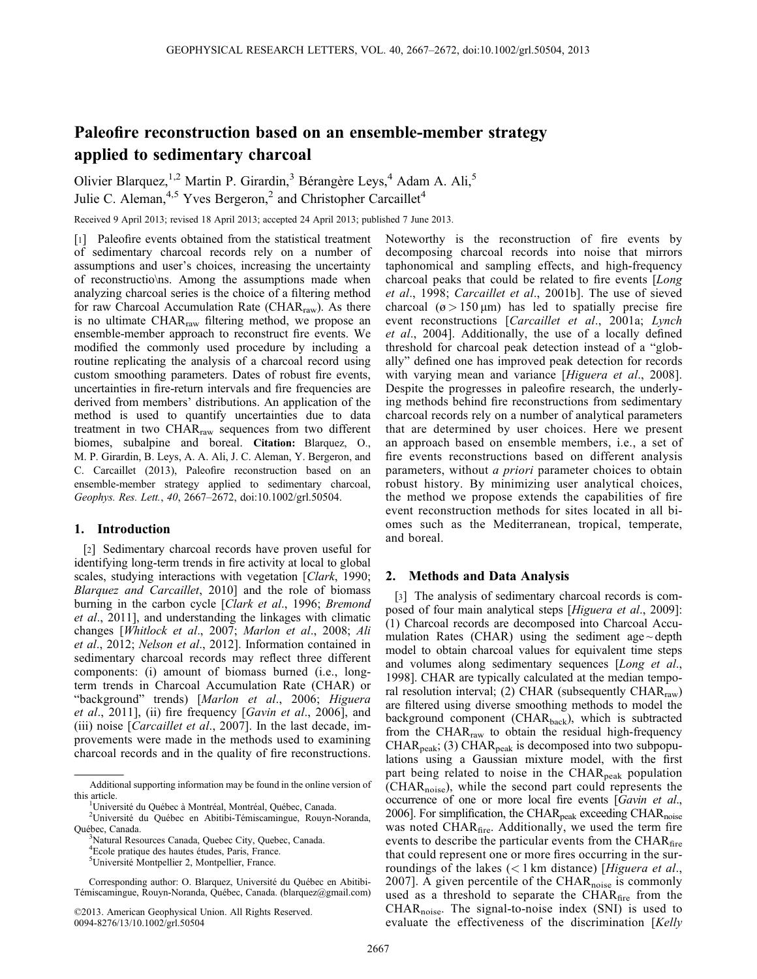# Paleofire reconstruction based on an ensemble-member strategy applied to sedimentary charcoal

Olivier Blarquez,<sup>1,2</sup> Martin P. Girardin,<sup>3</sup> Bérangère Leys,<sup>4</sup> Adam A. Ali,<sup>5</sup> Julie C. Aleman,  $4.5$  Yves Bergeron,  $2$  and Christopher Carcaillet<sup>4</sup>

Received 9 April 2013; revised 18 April 2013; accepted 24 April 2013; published 7 June 2013.

[1] Paleofire events obtained from the statistical treatment of sedimentary charcoal records rely on a number of assumptions and user's choices, increasing the uncertainty of reconstructio\ns. Among the assumptions made when analyzing charcoal series is the choice of a filtering method for raw Charcoal Accumulation Rate (CHAR $_{\text{raw}}$ ). As there is no ultimate CHAR<sub>raw</sub> filtering method, we propose an ensemble-member approach to reconstruct fire events. We modified the commonly used procedure by including a routine replicating the analysis of a charcoal record using custom smoothing parameters. Dates of robust fire events, uncertainties in fire-return intervals and fire frequencies are derived from members' distributions. An application of the method is used to quantify uncertainties due to data treatment in two  $CHAR<sub>raw</sub>$  sequences from two different biomes, subalpine and boreal. Citation: Blarquez, O., M. P. Girardin, B. Leys, A. A. Ali, J. C. Aleman, Y. Bergeron, and C. Carcaillet (2013), Paleofire reconstruction based on an ensemble-member strategy applied to sedimentary charcoal, Geophys. Res. Lett., 40, 2667–2672, doi:10.1002/grl.50504.

# 1. Introduction

[2] Sedimentary charcoal records have proven useful for identifying long-term trends in fire activity at local to global scales, studying interactions with vegetation [Clark, 1990; Blarquez and Carcaillet, 2010] and the role of biomass burning in the carbon cycle [Clark et al., 1996; Bremond et al., 2011], and understanding the linkages with climatic changes [Whitlock et al., 2007; Marlon et al., 2008; Ali et al., 2012; Nelson et al., 2012]. Information contained in sedimentary charcoal records may reflect three different components: (i) amount of biomass burned (i.e., longterm trends in Charcoal Accumulation Rate (CHAR) or "background" trends) [Marlon et al., 2006; Higuera et al., 2011], (ii) fire frequency [Gavin et al., 2006], and (iii) noise [*Carcaillet et al.*, 2007]. In the last decade, improvements were made in the methods used to examining charcoal records and in the quality of fire reconstructions.

©2013. American Geophysical Union. All Rights Reserved. 0094-8276/13/10.1002/grl.50504

Noteworthy is the reconstruction of fire events by decomposing charcoal records into noise that mirrors taphonomical and sampling effects, and high-frequency charcoal peaks that could be related to fire events [Long et al., 1998; Carcaillet et al., 2001b]. The use of sieved charcoal ( $\varphi > 150 \,\mu m$ ) has led to spatially precise fire event reconstructions [Carcaillet et al., 2001a; Lynch et al., 2004]. Additionally, the use of a locally defined threshold for charcoal peak detection instead of a "globally" defined one has improved peak detection for records with varying mean and variance [Higuera et al., 2008]. Despite the progresses in paleofire research, the underlying methods behind fire reconstructions from sedimentary charcoal records rely on a number of analytical parameters that are determined by user choices. Here we present an approach based on ensemble members, i.e., a set of fire events reconstructions based on different analysis parameters, without *a priori* parameter choices to obtain robust history. By minimizing user analytical choices, the method we propose extends the capabilities of fire event reconstruction methods for sites located in all biomes such as the Mediterranean, tropical, temperate, and boreal.

## 2. Methods and Data Analysis

[3] The analysis of sedimentary charcoal records is composed of four main analytical steps [Higuera et al., 2009]: (1) Charcoal records are decomposed into Charcoal Accumulation Rates (CHAR) using the sediment age $\sim$  depth model to obtain charcoal values for equivalent time steps and volumes along sedimentary sequences [Long et al., 1998]. CHAR are typically calculated at the median temporal resolution interval; (2) CHAR (subsequently  $CHAR<sub>raw</sub>$ ) are filtered using diverse smoothing methods to model the background component (CHAR<sub>back</sub>), which is subtracted from the CHAR<sub>raw</sub> to obtain the residual high-frequency  $CHAR<sub>peak</sub>$ ; (3) CHAR<sub>peak</sub> is decomposed into two subpopulations using a Gaussian mixture model, with the first part being related to noise in the CHAR<sub>peak</sub> population (CHARnoise), while the second part could represents the occurrence of one or more local fire events [Gavin et al., 2006]. For simplification, the CHAR<sub>peak</sub> exceeding CHAR<sub>noise</sub> was noted CHAR<sub>fire</sub>. Additionally, we used the term fire events to describe the particular events from the CHA $R<sub>fire</sub>$ that could represent one or more fires occurring in the surroundings of the lakes  $(< 1 \text{ km}$  distance) [Higuera et al., 2007]. A given percentile of the  $\text{CHAR}_{\text{noise}}$  is commonly used as a threshold to separate the CHAR<sub>fire</sub> from the  $CHAR<sub>noise</sub>$ . The signal-to-noise index (SNI) is used to evaluate the effectiveness of the discrimination [Kelly

Additional supporting information may be found in the online version of this article.

<sup>&</sup>lt;sup>1</sup>Université du Québec à Montréal, Montréal, Québec, Canada.

<sup>&</sup>lt;sup>2</sup>Université du Québec en Abitibi-Témiscamingue, Rouyn-Noranda, Québec, Canada.

Natural Resources Canada, Quebec City, Quebec, Canada.

<sup>4</sup> Ecole pratique des hautes études, Paris, France.

<sup>5</sup> Université Montpellier 2, Montpellier, France.

Corresponding author: O. Blarquez, Université du Québec en Abitibi-Témiscamingue, Rouyn-Noranda, Québec, Canada. (blarquez@gmail.com)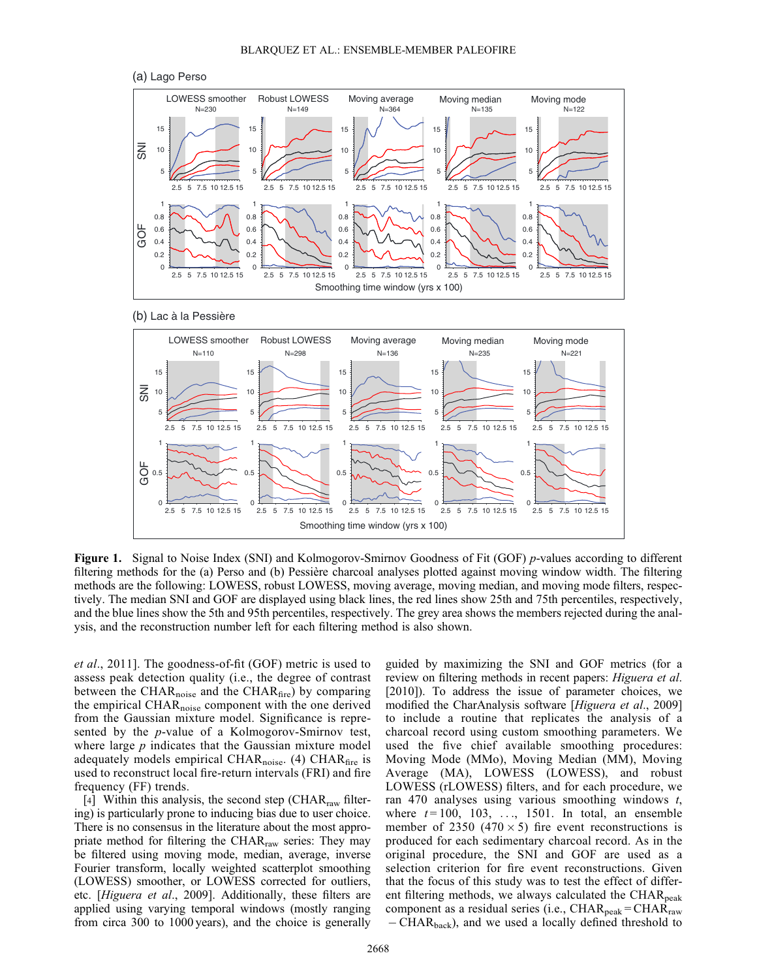







Figure 1. Signal to Noise Index (SNI) and Kolmogorov-Smirnov Goodness of Fit (GOF) p-values according to different filtering methods for the (a) Perso and (b) Pessière charcoal analyses plotted against moving window width. The filtering methods are the following: LOWESS, robust LOWESS, moving average, moving median, and moving mode filters, respectively. The median SNI and GOF are displayed using black lines, the red lines show 25th and 75th percentiles, respectively, and the blue lines show the 5th and 95th percentiles, respectively. The grey area shows the members rejected during the analysis, and the reconstruction number left for each filtering method is also shown.

et al., 2011]. The goodness-of-fit (GOF) metric is used to assess peak detection quality (i.e., the degree of contrast between the CHAR<sub>noise</sub> and the CHAR $_{\text{fire}}$ ) by comparing the empirical CHAR<sub>noise</sub> component with the one derived from the Gaussian mixture model. Significance is represented by the p-value of a Kolmogorov-Smirnov test, where large  $p$  indicates that the Gaussian mixture model adequately models empirical CHAR<sub>noise</sub>. (4) CHAR<sub>fire</sub> is used to reconstruct local fire-return intervals (FRI) and fire frequency (FF) trends.

[4] Within this analysis, the second step ( $\text{CHAR}_{\text{raw}}$  filtering) is particularly prone to inducing bias due to user choice. There is no consensus in the literature about the most appropriate method for filtering the CHAR $_{\text{raw}}$  series: They may be filtered using moving mode, median, average, inverse Fourier transform, locally weighted scatterplot smoothing (LOWESS) smoother, or LOWESS corrected for outliers, etc. [Higuera et al., 2009]. Additionally, these filters are applied using varying temporal windows (mostly ranging from circa 300 to 1000 years), and the choice is generally guided by maximizing the SNI and GOF metrics (for a review on filtering methods in recent papers: Higuera et al. [2010]). To address the issue of parameter choices, we modified the CharAnalysis software [Higuera et al., 2009] to include a routine that replicates the analysis of a charcoal record using custom smoothing parameters. We used the five chief available smoothing procedures: Moving Mode (MMo), Moving Median (MM), Moving Average (MA), LOWESS (LOWESS), and robust LOWESS (rLOWESS) filters, and for each procedure, we ran 470 analyses using various smoothing windows t, where  $t = 100$ , 103, ..., 1501. In total, an ensemble member of 2350 (470  $\times$  5) fire event reconstructions is produced for each sedimentary charcoal record. As in the original procedure, the SNI and GOF are used as a selection criterion for fire event reconstructions. Given that the focus of this study was to test the effect of different filtering methods, we always calculated the  $\text{CHAR}_{\text{peak}}$ component as a residual series (i.e.,  $\text{CHAR}_{\text{peak}} = \text{CHAR}_{\text{raw}}$ - CHAR<sub>back</sub>), and we used a locally defined threshold to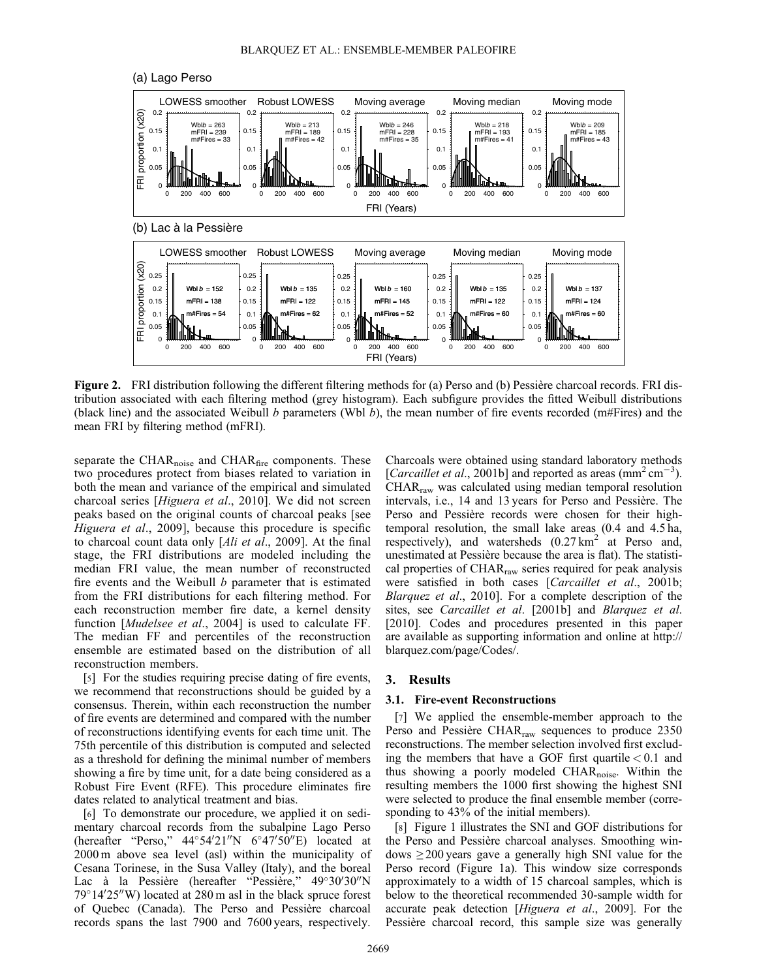(a) Lago Perso



Figure 2. FRI distribution following the different filtering methods for (a) Perso and (b) Pessière charcoal records. FRI distribution associated with each filtering method (grey histogram). Each subfigure provides the fitted Weibull distributions (black line) and the associated Weibull b parameters (Wbl b), the mean number of fire events recorded (m#Fires) and the mean FRI by filtering method (mFRI).

separate the  $\text{CHAR}_{\text{noise}}$  and  $\text{CHAR}_{\text{fire}}$  components. These two procedures protect from biases related to variation in both the mean and variance of the empirical and simulated charcoal series [Higuera et al., 2010]. We did not screen peaks based on the original counts of charcoal peaks [see Higuera et al., 2009], because this procedure is specific to charcoal count data only [Ali et al., 2009]. At the final stage, the FRI distributions are modeled including the median FRI value, the mean number of reconstructed fire events and the Weibull  $b$  parameter that is estimated from the FRI distributions for each filtering method. For each reconstruction member fire date, a kernel density function [Mudelsee et al., 2004] is used to calculate FF. The median FF and percentiles of the reconstruction ensemble are estimated based on the distribution of all reconstruction members.

[5] For the studies requiring precise dating of fire events, we recommend that reconstructions should be guided by a consensus. Therein, within each reconstruction the number of fire events are determined and compared with the number of reconstructions identifying events for each time unit. The 75th percentile of this distribution is computed and selected as a threshold for defining the minimal number of members showing a fire by time unit, for a date being considered as a Robust Fire Event (RFE). This procedure eliminates fire dates related to analytical treatment and bias.

[6] To demonstrate our procedure, we applied it on sedimentary charcoal records from the subalpine Lago Perso (hereafter "Perso,"  $44^{\circ}54'21''N$  6°47′50″E) located at 2000 m above sea level (asl) within the municipality of Cesana Torinese, in the Susa Valley (Italy), and the boreal Lac à la Pessière (hereafter "Pessière," 49°30'30"N  $79^{\circ}14'25''$ W) located at 280 m asl in the black spruce forest of Quebec (Canada). The Perso and Pessière charcoal records spans the last 7900 and 7600 years, respectively.

Charcoals were obtained using standard laboratory methods [Carcaillet et al., 2001b] and reported as areas ( $\text{mm}^2 \text{ cm}^{-3}$ ). CHARraw was calculated using median temporal resolution intervals, i.e., 14 and 13 years for Perso and Pessière. The Perso and Pessière records were chosen for their hightemporal resolution, the small lake areas (0.4 and 4.5 ha, respectively), and watersheds  $(0.27 \text{ km}^2 \text{ at } \text{Perso and},$ unestimated at Pessière because the area is flat). The statistical properties of CHAR<sub>raw</sub> series required for peak analysis were satisfied in both cases [Carcaillet et al., 2001b; Blarquez et al., 2010]. For a complete description of the sites, see Carcaillet et al. [2001b] and Blarquez et al. [2010]. Codes and procedures presented in this paper are available as supporting information and online at [http://](http://blarquez.com/page/Codes/) [blarquez.com/page/Codes/.](http://blarquez.com/page/Codes/)

## 3. Results

## 3.1. Fire-event Reconstructions

[7] We applied the ensemble-member approach to the Perso and Pessière CHAR<sub>raw</sub> sequences to produce 2350 reconstructions. The member selection involved first excluding the members that have a GOF first quartile  $< 0.1$  and thus showing a poorly modeled CHAR<sub>noise</sub>. Within the resulting members the 1000 first showing the highest SNI were selected to produce the final ensemble member (corresponding to 43% of the initial members).

[8] Figure 1 illustrates the SNI and GOF distributions for the Perso and Pessière charcoal analyses. Smoothing windows  $\geq$  200 years gave a generally high SNI value for the Perso record (Figure 1a). This window size corresponds approximately to a width of 15 charcoal samples, which is below to the theoretical recommended 30-sample width for accurate peak detection [Higuera et al., 2009]. For the Pessière charcoal record, this sample size was generally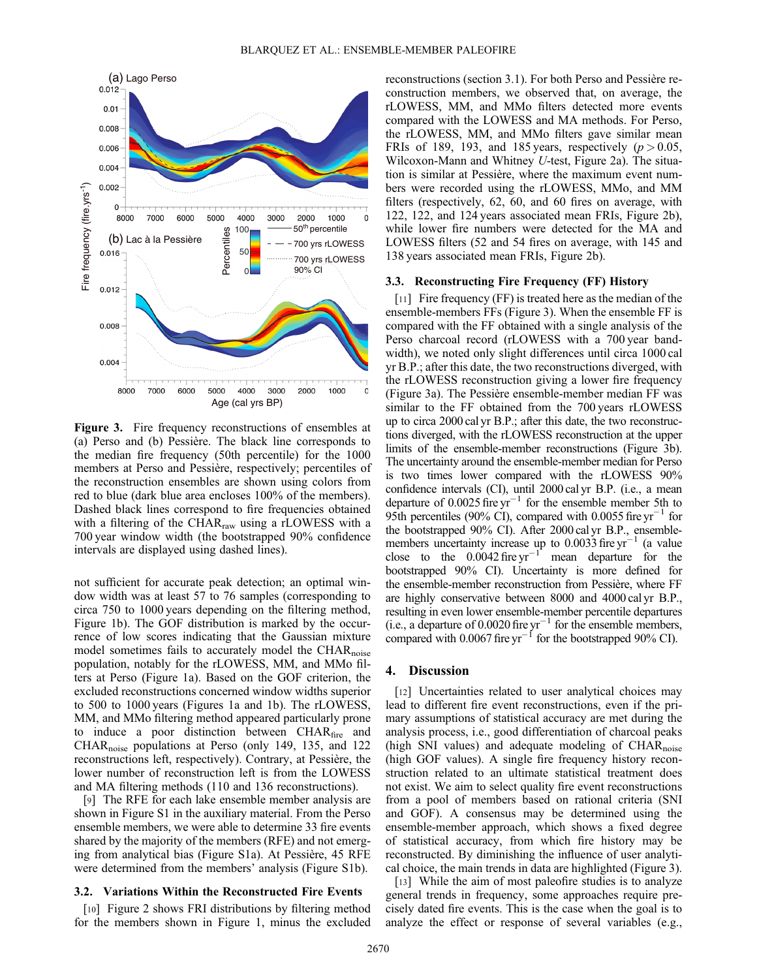

Figure 3. Fire frequency reconstructions of ensembles at (a) Perso and (b) Pessière. The black line corresponds to the median fire frequency (50th percentile) for the 1000 members at Perso and Pessière, respectively; percentiles of the reconstruction ensembles are shown using colors from red to blue (dark blue area encloses 100% of the members). Dashed black lines correspond to fire frequencies obtained with a filtering of the CHAR<sub>raw</sub> using a rLOWESS with a 700 year window width (the bootstrapped 90% confidence intervals are displayed using dashed lines).

not sufficient for accurate peak detection; an optimal window width was at least 57 to 76 samples (corresponding to circa 750 to 1000 years depending on the filtering method, Figure 1b). The GOF distribution is marked by the occurrence of low scores indicating that the Gaussian mixture model sometimes fails to accurately model the CHAR<sub>noise</sub> population, notably for the rLOWESS, MM, and MMo filters at Perso (Figure 1a). Based on the GOF criterion, the excluded reconstructions concerned window widths superior to 500 to 1000 years (Figures 1a and 1b). The rLOWESS, MM, and MMo filtering method appeared particularly prone to induce a poor distinction between CHAR<sub>fire</sub> and CHAR<sub>noise</sub> populations at Perso (only 149, 135, and 122 reconstructions left, respectively). Contrary, at Pessière, the lower number of reconstruction left is from the LOWESS and MA filtering methods (110 and 136 reconstructions).

[9] The RFE for each lake ensemble member analysis are shown in Figure S1 in the auxiliary material. From the Perso ensemble members, we were able to determine 33 fire events shared by the majority of the members (RFE) and not emerging from analytical bias (Figure S1a). At Pessière, 45 RFE were determined from the members' analysis (Figure S1b).

# 3.2. Variations Within the Reconstructed Fire Events

[10] Figure 2 shows FRI distributions by filtering method for the members shown in Figure 1, minus the excluded reconstructions (section 3.1). For both Perso and Pessière reconstruction members, we observed that, on average, the rLOWESS, MM, and MMo filters detected more events compared with the LOWESS and MA methods. For Perso, the rLOWESS, MM, and MMo filters gave similar mean FRIs of 189, 193, and 185 years, respectively  $(p > 0.05,$ Wilcoxon-Mann and Whitney U-test, Figure 2a). The situation is similar at Pessière, where the maximum event numbers were recorded using the rLOWESS, MMo, and MM filters (respectively, 62, 60, and 60 fires on average, with 122, 122, and 124 years associated mean FRIs, Figure 2b), while lower fire numbers were detected for the MA and LOWESS filters (52 and 54 fires on average, with 145 and 138 years associated mean FRIs, Figure 2b).

#### 3.3. Reconstructing Fire Frequency (FF) History

[11] Fire frequency (FF) is treated here as the median of the ensemble-members FFs (Figure 3). When the ensemble FF is compared with the FF obtained with a single analysis of the Perso charcoal record (rLOWESS with a 700 year bandwidth), we noted only slight differences until circa 1000 cal yr B.P.; after this date, the two reconstructions diverged, with the rLOWESS reconstruction giving a lower fire frequency (Figure 3a). The Pessière ensemble-member median FF was similar to the FF obtained from the 700 years rLOWESS up to circa 2000 cal yr B.P.; after this date, the two reconstructions diverged, with the rLOWESS reconstruction at the upper limits of the ensemble-member reconstructions (Figure 3b). The uncertainty around the ensemble-member median for Perso is two times lower compared with the rLOWESS 90% confidence intervals (CI), until 2000 cal yr B.P. (i.e., a mean departure of  $0.0025$  fire yr<sup>-1</sup> for the ensemble member 5th to 95th percentiles (90% CI), compared with 0.0055 fire  $yr^{-1}$  for the bootstrapped 90% CI). After 2000 cal yr B.P., ensemblemembers uncertainty increase up to  $0.0033$  fire yr<sup>-1</sup> (a value close to the  $0.0042$  fire yr<sup>-1</sup> mean departure for the bootstrapped 90% CI). Uncertainty is more defined for the ensemble-member reconstruction from Pessière, where FF are highly conservative between 8000 and 4000 cal yr B.P., resulting in even lower ensemble-member percentile departures (i.e., a departure of  $0.0020$  fire yr<sup>-1</sup> for the ensemble members, compared with  $0.0067$  fire  $yr^{-1}$  for the bootstrapped 90% CI).

### 4. Discussion

[12] Uncertainties related to user analytical choices may lead to different fire event reconstructions, even if the primary assumptions of statistical accuracy are met during the analysis process, i.e., good differentiation of charcoal peaks (high SNI values) and adequate modeling of  $CHAR<sub>noise</sub>$ (high GOF values). A single fire frequency history reconstruction related to an ultimate statistical treatment does not exist. We aim to select quality fire event reconstructions from a pool of members based on rational criteria (SNI and GOF). A consensus may be determined using the ensemble-member approach, which shows a fixed degree of statistical accuracy, from which fire history may be reconstructed. By diminishing the influence of user analytical choice, the main trends in data are highlighted (Figure 3).

[13] While the aim of most paleofire studies is to analyze general trends in frequency, some approaches require precisely dated fire events. This is the case when the goal is to analyze the effect or response of several variables (e.g.,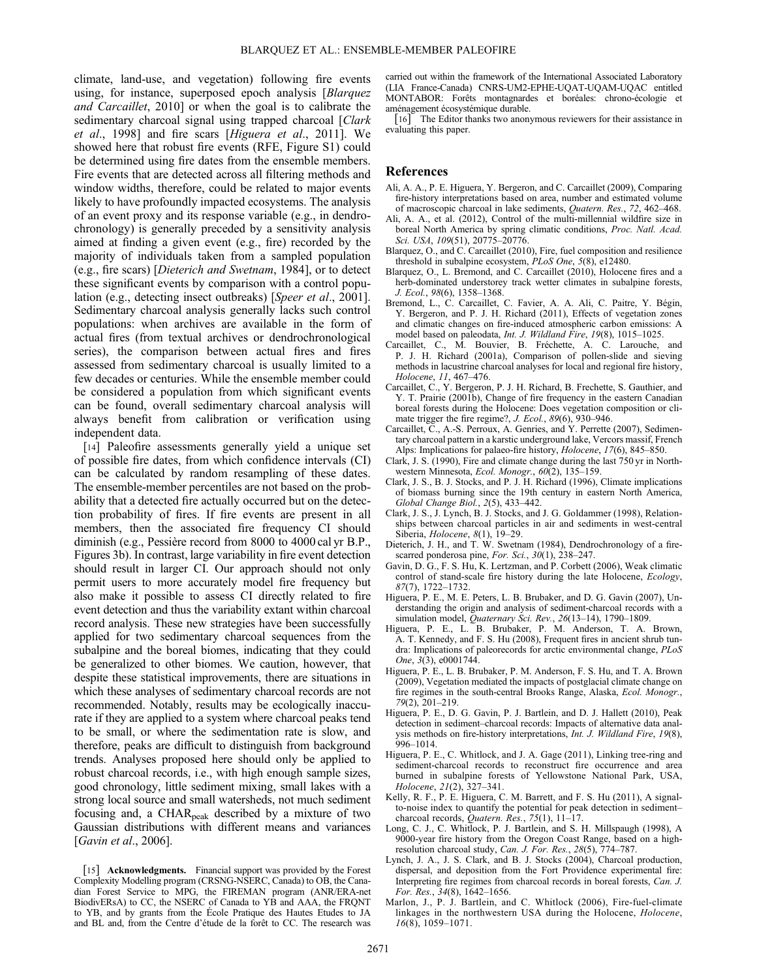climate, land-use, and vegetation) following fire events using, for instance, superposed epoch analysis [Blarquez] and Carcaillet, 2010] or when the goal is to calibrate the sedimentary charcoal signal using trapped charcoal [Clark] et al., 1998] and fire scars [Higuera et al., 2011]. We showed here that robust fire events (RFE, Figure S1) could be determined using fire dates from the ensemble members. Fire events that are detected across all filtering methods and window widths, therefore, could be related to major events likely to have profoundly impacted ecosystems. The analysis of an event proxy and its response variable (e.g., in dendrochronology) is generally preceded by a sensitivity analysis aimed at finding a given event (e.g., fire) recorded by the majority of individuals taken from a sampled population (e.g., fire scars) [Dieterich and Swetnam, 1984], or to detect these significant events by comparison with a control population (e.g., detecting insect outbreaks) [Speer et al., 2001]. Sedimentary charcoal analysis generally lacks such control populations: when archives are available in the form of actual fires (from textual archives or dendrochronological series), the comparison between actual fires and fires assessed from sedimentary charcoal is usually limited to a few decades or centuries. While the ensemble member could be considered a population from which significant events can be found, overall sedimentary charcoal analysis will always benefit from calibration or verification using independent data.

[14] Paleofire assessments generally yield a unique set of possible fire dates, from which confidence intervals (CI) can be calculated by random resampling of these dates. The ensemble-member percentiles are not based on the probability that a detected fire actually occurred but on the detection probability of fires. If fire events are present in all members, then the associated fire frequency CI should diminish (e.g., Pessière record from 8000 to 4000 cal yr B.P., Figures 3b). In contrast, large variability in fire event detection should result in larger CI. Our approach should not only permit users to more accurately model fire frequency but also make it possible to assess CI directly related to fire event detection and thus the variability extant within charcoal record analysis. These new strategies have been successfully applied for two sedimentary charcoal sequences from the subalpine and the boreal biomes, indicating that they could be generalized to other biomes. We caution, however, that despite these statistical improvements, there are situations in which these analyses of sedimentary charcoal records are not recommended. Notably, results may be ecologically inaccurate if they are applied to a system where charcoal peaks tend to be small, or where the sedimentation rate is slow, and therefore, peaks are difficult to distinguish from background trends. Analyses proposed here should only be applied to robust charcoal records, i.e., with high enough sample sizes, good chronology, little sediment mixing, small lakes with a strong local source and small watersheds, not much sediment focusing and, a CHAR<sub>peak</sub> described by a mixture of two Gaussian distributions with different means and variances [Gavin et al., 2006].

carried out within the framework of the International Associated Laboratory (LIA France-Canada) CNRS-UM2-EPHE-UQAT-UQAM-UQAC entitled MONTABOR: Forêts montagnardes et boréales: chrono-écologie et aménagement écosystémique durable.

[16] The Editor thanks two anonymous reviewers for their assistance in evaluating this paper.

#### References

- Ali, A. A., P. E. Higuera, Y. Bergeron, and C. Carcaillet (2009), Comparing fire-history interpretations based on area, number and estimated volume of macroscopic charcoal in lake sediments, Quatern. Res., 72, 462–468.
- Ali, A. A., et al. (2012), Control of the multi-millennial wildfire size in boreal North America by spring climatic conditions, Proc. Natl. Acad. Sci. USA, 109(51), 20775–20776.
- Blarquez, O., and C. Carcaillet (2010), Fire, fuel composition and resilience threshold in subalpine ecosystem, PLoS One, 5(8), e12480.
- Blarquez, O., L. Bremond, and C. Carcaillet (2010), Holocene fires and a herb-dominated understorey track wetter climates in subalpine forests, J. Ecol., 98(6), 1358–1368.
- Bremond, L., C. Carcaillet, C. Favier, A. A. Ali, C. Paitre, Y. Bégin, Y. Bergeron, and P. J. H. Richard (2011), Effects of vegetation zones and climatic changes on fire-induced atmospheric carbon emissions: A model based on paleodata, Int. J. Wildland Fire, 19(8), 1015–1025.
- Carcaillet, C., M. Bouvier, B. Fréchette, A. C. Larouche, and P. J. H. Richard (2001a), Comparison of pollen-slide and sieving methods in lacustrine charcoal analyses for local and regional fire history, Holocene, 11, 467–476.
- Carcaillet, C., Y. Bergeron, P. J. H. Richard, B. Frechette, S. Gauthier, and Y. T. Prairie (2001b), Change of fire frequency in the eastern Canadian boreal forests during the Holocene: Does vegetation composition or climate trigger the fire regime?, J. Ecol., 89(6), 930–946.
- Carcaillet, C., A.-S. Perroux, A. Genries, and Y. Perrette (2007), Sedimentary charcoal pattern in a karstic underground lake, Vercors massif, French Alps: Implications for palaeo-fire history, Holocene, 17(6), 845–850.
- Clark, J. S. (1990), Fire and climate change during the last 750 yr in Northwestern Minnesota, Ecol. Monogr., 60(2), 135–159.
- Clark, J. S., B. J. Stocks, and P. J. H. Richard (1996), Climate implications of biomass burning since the 19th century in eastern North America, Global Change Biol., 2(5), 433–442.
- Clark, J. S., J. Lynch, B. J. Stocks, and J. G. Goldammer (1998), Relationships between charcoal particles in air and sediments in west-central Siberia, Holocene, 8(1), 19–29.
- Dieterich, J. H., and T. W. Swetnam (1984), Dendrochronology of a firescarred ponderosa pine, For. Sci.,  $30(1)$ ,  $238-247$ .
- Gavin, D. G., F. S. Hu, K. Lertzman, and P. Corbett (2006), Weak climatic control of stand-scale fire history during the late Holocene, Ecology, 87(7), 1722–1732.
- Higuera, P. E., M. E. Peters, L. B. Brubaker, and D. G. Gavin (2007), Understanding the origin and analysis of sediment-charcoal records with a simulation model, Quaternary Sci. Rev., 26(13–14), 1790–1809.
- Higuera, P. E., L. B. Brubaker, P. M. Anderson, T. A. Brown, A. T. Kennedy, and F. S. Hu (2008), Frequent fires in ancient shrub tundra: Implications of paleorecords for arctic environmental change, PLoS One, 3(3), e0001744.
- Higuera, P. E., L. B. Brubaker, P. M. Anderson, F. S. Hu, and T. A. Brown (2009), Vegetation mediated the impacts of postglacial climate change on fire regimes in the south-central Brooks Range, Alaska, Ecol. Monogr., 79(2), 201–219.
- Higuera, P. E., D. G. Gavin, P. J. Bartlein, and D. J. Hallett (2010), Peak detection in sediment–charcoal records: Impacts of alternative data analysis methods on fire-history interpretations, *Int. J. Wildland Fire, 19*(8), 996–1014.
- Higuera, P. E., C. Whitlock, and J. A. Gage (2011), Linking tree-ring and sediment-charcoal records to reconstruct fire occurrence and area burned in subalpine forests of Yellowstone National Park, USA, Holocene, 21(2), 327–341.
- Kelly, R. F., P. E. Higuera, C. M. Barrett, and F. S. Hu (2011), A signalto-noise index to quantify the potential for peak detection in sediment– charcoal records, Quatern. Res., 75(1), 11-17.
- Long, C. J., C. Whitlock, P. J. Bartlein, and S. H. Millspaugh (1998), A 9000-year fire history from the Oregon Coast Range, based on a highresolution charcoal study, Can. J. For. Res., 28(5), 774–787.
- Lynch, J. A., J. S. Clark, and B. J. Stocks (2004), Charcoal production, dispersal, and deposition from the Fort Providence experimental fire: Interpreting fire regimes from charcoal records in boreal forests, Can. J. For. Res., 34(8), 1642–1656.
- Marlon, J., P. J. Bartlein, and C. Whitlock (2006), Fire-fuel-climate linkages in the northwestern USA during the Holocene, Holocene,  $16(8)$ , 1059-1071.

<sup>[15]</sup> Acknowledgments. Financial support was provided by the Forest Complexity Modelling program (CRSNG-NSERC, Canada) to OB, the Canadian Forest Service to MPG, the FIREMAN program (ANR/ERA-net BiodivERsA) to CC, the NSERC of Canada to YB and AAA, the FRQNT to YB, and by grants from the École Pratique des Hautes Etudes to JA and BL and, from the Centre d'étude de la forêt to CC. The research was